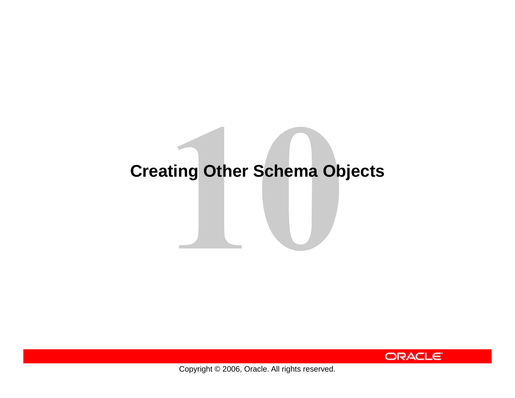# **Creating Other Schema Objects**



Copyright © 2006, Oracle. All rights reserved.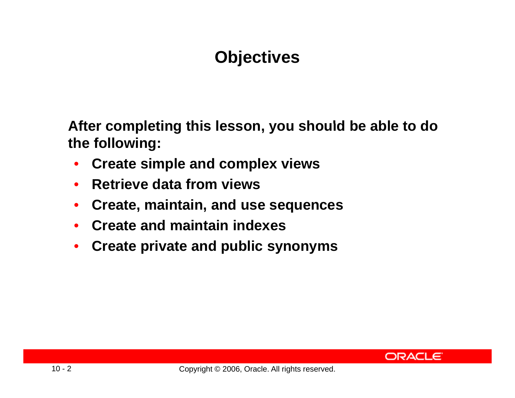## **Objectives**

**After completing this lesson you should be able to do this lesson, the following:**

- $\bullet$ **Create simple and complex views**
- **Retrieve data from views**
- $\bullet$ **Create, maintain, and use sequences**
- **Create and maintain indexes**
- •**Create private and public synonyms**

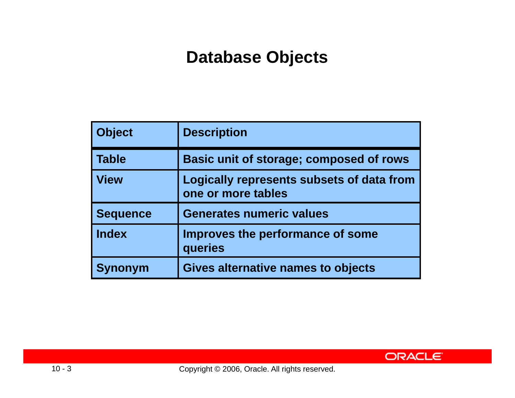#### **Database Objects**

| <b>Object</b>   | <b>Description</b>                                              |
|-----------------|-----------------------------------------------------------------|
| <b>Table</b>    | <b>Basic unit of storage; composed of rows</b>                  |
| <b>View</b>     | Logically represents subsets of data from<br>one or more tables |
| <b>Sequence</b> | <b>Generates numeric values</b>                                 |
| <b>Index</b>    | Improves the performance of some<br>queries                     |
| <b>Synonym</b>  | <b>Gives alternative names to objects</b>                       |

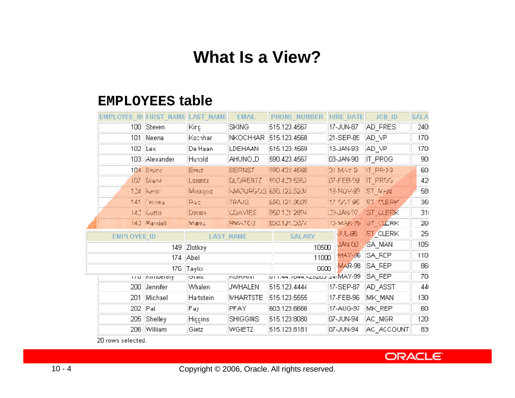#### **What Is a View?**

#### **EMPLOYEES table**

| EMPLOYEE ID FIRST NAME LAST NAME |                  |                       | <b>EMAIL</b>      | <b>PHONE NUMBER</b>              | <b>HIRE DATE</b> | <b>JOB ID</b> | <b>SALA</b> |
|----------------------------------|------------------|-----------------------|-------------------|----------------------------------|------------------|---------------|-------------|
|                                  | 100 Steven       | Kirg                  | <b>SKING</b>      | 515.123.4567                     | 17-JUN-87        | AD FRES       | 240         |
| 101                              | Neena            | Kochhar               | NKOCHHAR-         | 515.123.4568                     | 21-SEP-89        | AD VP         | 170         |
| 102                              | Lex              | De Haan               | LDEHAAN           | 515.123.4569                     | 13-JAN-93        | AD_VP         | 170         |
| 103                              | Alexander        | Hunpld                | AHUNO_D           | 590.423.4567                     | 03-JAN-90        | IT PROG       | 90          |
|                                  | 104 Eroce        | Emat                  | EERNST            | 590-423-4698                     | 21 MAY 9         | IT PROS       | 60          |
| WZ.                              | Diana            | Lomaz                 | <b>CALCARERTZ</b> | 590 423 5562                     | 07-FEB-99        | IT PROG       | 42          |
|                                  | 124 Kear         | Mesqoz                |                   | INNOURGOS 650, 123,5234          | 18-NOV-99        | ST MAN        | 58          |
|                                  | 141 Treima       | <b>SAGE COMMUNIST</b> | TRAJS             | 650.121.3009                     | 42 OGT 96        | ST CLERY      | 35          |
|                                  | 142 Curiis       | Denes                 | <b>CDAMES</b>     | 650.121.2894                     | <b>ELJAN-97</b>  | ST ULERK      | 31          |
|                                  | 143 Pandall      | se e c                | <b>PMATCLY</b>    | 633 121 1374                     | <b>IT.MARTH</b>  | ST MIERK      | 2D          |
| <b>EMPLOYEE ID</b>               |                  |                       | <b>LAST NAME</b>  | <b>SALARY</b>                    | JULYS            | ST CLERK      | 25          |
|                                  | 149              | Zlotkey               |                   | 10500                            | JAN (R)          | SA MAN        | 105         |
|                                  | 174              | Abel                  |                   | 11000                            | MAY-96           | SA_REP        | 110         |
|                                  | 176              | Taylor                |                   | 0600                             | <b>操人R-98</b>    | SA FEP        | 861         |
|                                  | T/O   NITIDBIBIY | ا الله ات             | <b>NORAINE</b>    | juli 1.44.1044.42520Jjjz4-MAY-99 |                  | SA_REP        | 70          |
| 200                              | Jennifer         | Whalen                | <b>JWHALEN</b>    | 515.123.4444                     | 17-SEP-87        | AD ASST       | 44          |
| 201                              | Michael          | Hatstein              | <b>NHARTSTE</b>   | 515.123.5555                     | 17-FEB-96        | MK MAN        | 130)        |
| 202                              | $ {\sf Pat} $    | Fay                   | <b>PFAY</b>       | 603.123.6666                     | 17-AUG-97        | MK_REP        | 60          |
| 205                              | Shelley          | Higgins               | <b>SHIGGINS</b>   | 515.123.8080                     | 07-JUN-94        | AC MGR        | 120         |
|                                  | 206 William      | Gietz                 | <b>WGIETZ</b>     | 515.123.8181                     | D7-JUN-94        | AC ACCOUNT    | 83          |

20 rows selected.

#### **ORACLE**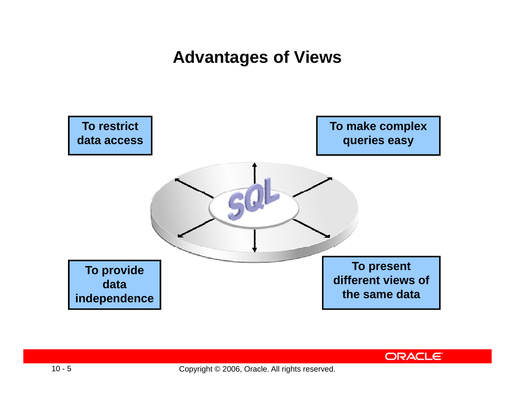**Advantages of Views**

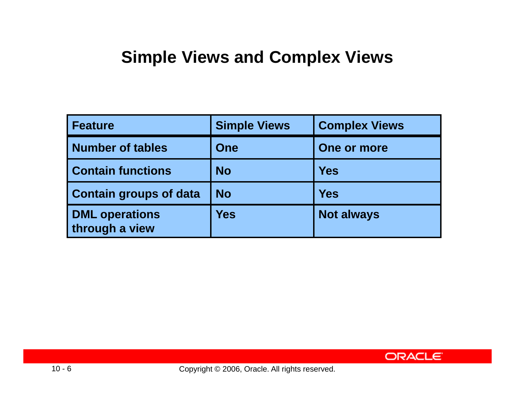#### **Simple Views and Complex Views**

| <b>Feature</b>                          | <b>Simple Views</b> | <b>Complex Views</b> |
|-----------------------------------------|---------------------|----------------------|
| <b>Number of tables</b>                 | One                 | One or more          |
| <b>Contain functions</b>                | <b>No</b>           | <b>Yes</b>           |
| <b>Contain groups of data</b>           | <b>No</b>           | <b>Yes</b>           |
| <b>DML</b> operations<br>through a view | <b>Yes</b>          | <b>Not always</b>    |

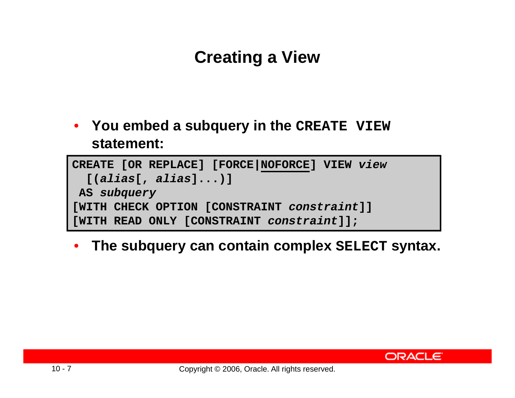### **Creating a View**

• **You embed <sup>a</sup> subquery in the CREATE VIEW CREATE statement:**

```
CREATE [OR REPLACE] [FORCE|NOFORCE] VIEW view
  [(alias[, alias]...)]
AS subquery
[WITH CHECK OPTION [CONSTRAINT constraint]]
[WITH READ ONLY [CONSTRAINT constraint]];
```
•**The subquery can contain complex SELECT syntax.**

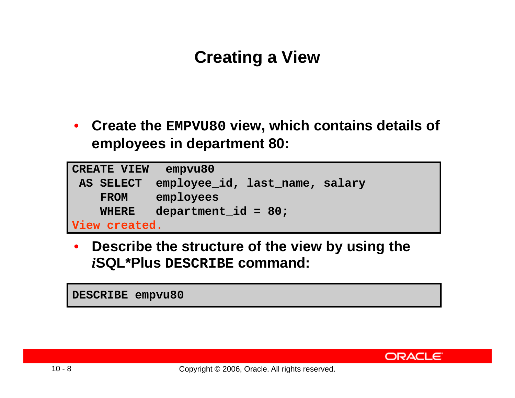### **Creating a View**

 $\bullet$  **Create the EMPVU80 view which contains details of view, employees in department 80:**

| <b>CREATE VIEW</b> | empvu80                        |
|--------------------|--------------------------------|
| AS SELECT          | employee_id, last_name, salary |
| <b>FROM</b>        | employees                      |
| <b>WHERE</b>       | department $id = 80;$          |
| View created.      |                                |

 $\bullet$  **Describe the structure of the view by using the**  *i***SQL\*Plus DESCRIBE command:**

**DESCRIBE empvu80**

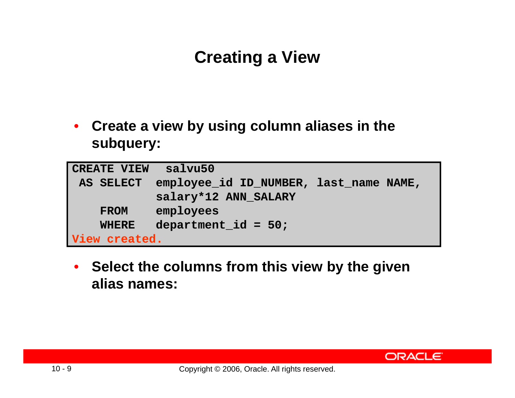#### **Creating a View**

 $\bullet$  **Create <sup>a</sup> view by using column aliases in the using subquery:**

| <b>CREATE VIEW</b> | salvu50                                |  |  |  |
|--------------------|----------------------------------------|--|--|--|
| AS SELECT          | employee id ID NUMBER, last name NAME, |  |  |  |
|                    | salary*12 ANN SALARY                   |  |  |  |
| <b>FROM</b>        | employees                              |  |  |  |
| <b>WHERE</b>       | department id = $50$ ;                 |  |  |  |
| View created.      |                                        |  |  |  |

 $\bullet$ • Select the columns from this view by the given **alias names:**

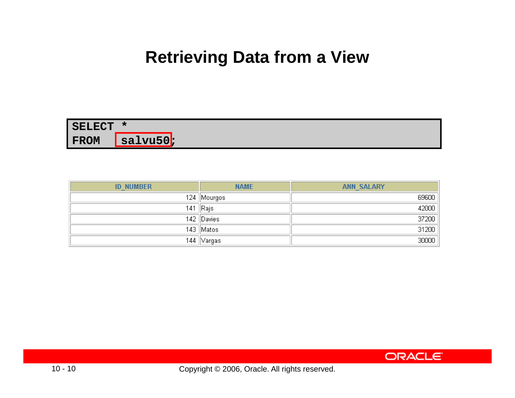#### **Retrieving Data from a View**

| <b>SELECT</b> |           |
|---------------|-----------|
| <b>FROM</b>   | salvu50 ; |

| <b>ID NUMBER</b> | <b>NAME</b>          | <b>ANN SALARY</b> |
|------------------|----------------------|-------------------|
|                  | 124   Mourgos        | 69600             |
|                  | 141 $\parallel$ Rajs | 42000             |
|                  | 142 Davies           | 37200             |
|                  | 143 Matos            | 31200             |
|                  | 144 ∥∀argas          | 30000             |

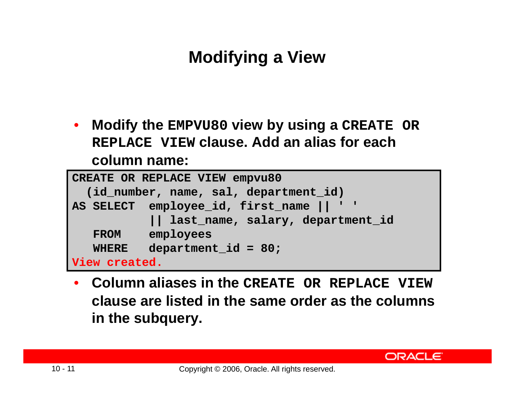### **Modifying a View**

• **Modify the EMPVU80 view by using <sup>a</sup> CREATE OR REPLACE VIEW clause. Add an alias for each column name:**

```
CREATE OR REPLACE VIEW empvu80
  (id_number, name, sal, department_id)
AS SELECT employee_id, first_name || ' ' 
            || last name, salary, department id  last_name,  department_id
   FROM employees
   WHERE department_id = 80;
View created.
```
• **Column aliases in the CREATE OR REPLACE VIEWclause are listed in the same order as the columns in the subquery. q y**

**ORACLE**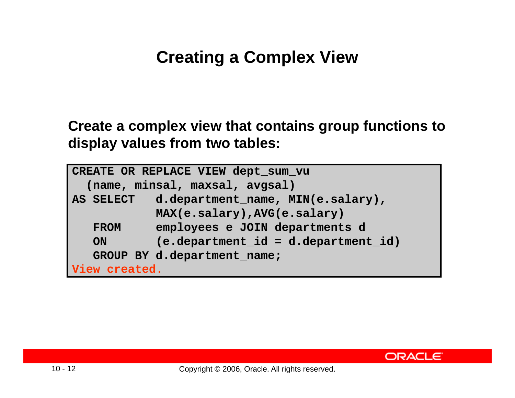#### **Creating a Complex View**

**Create <sup>a</sup> complex view that contains group functions to display values from two tables:**

| CREATE OR REPLACE VIEW dept sum vu                               |  |  |  |  |
|------------------------------------------------------------------|--|--|--|--|
| (name, minsal, maxsal, avgsal)                                   |  |  |  |  |
| d.department name, MIN(e.salary),<br>AS SELECT                   |  |  |  |  |
| MAX(e.salary), AVG(e.salary)                                     |  |  |  |  |
| employees e JOIN departments d<br><b>FROM</b>                    |  |  |  |  |
| $(e.\text{department} id = d.\text{department} id)$<br><b>ON</b> |  |  |  |  |
| GROUP BY d.department name;                                      |  |  |  |  |
| View created.                                                    |  |  |  |  |

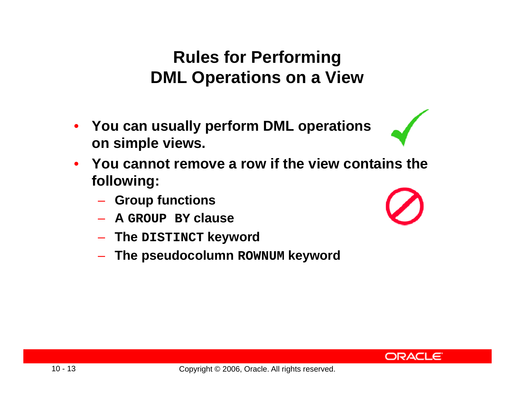#### **Rules for Performing DML O ti Vi Operations on a View**

- **You can usually perform DML operations on simple views.**
- **You cannot remove a row if the view contains the following:**
	- **Group functions**
	- **A GROUP BY clause**
	- **The DISTINCT keyword**
	- **The pseudocolumn ROWNUM keyword**



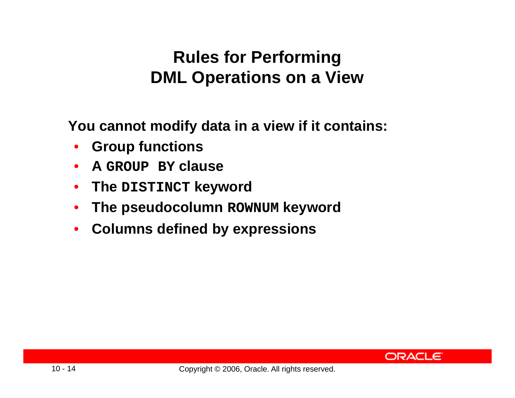#### **Rules for Performing DML O ti Vi Operations on a View**

**You cannot modify data in <sup>a</sup> view if it contains: <sup>a</sup> view**

- •**Group functions**
- •**A GROUP BY clause**
- $\bullet$ **The DISTINCT keyword**
- $\bullet$ **The pseudocolumn ROWNUM keyword**
- $\bullet$ **C l d fi d b i Columns defined by expressions**

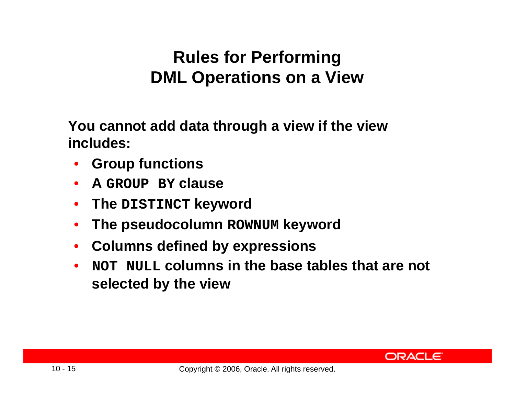#### **Rules for Performing DML O ti Vi Operations on a View**

**You cannot add data through <sup>a</sup> view if the view view includes:**

- •**Group functions**
- **A GROUP BY clause**
- •**The DISTINCT keyword**
- •**The pseudocolumn ROWNUM keyword**
- •**Columns defined by expressions**
- • **NOT NULL columns in the base tables that are not selected by the view**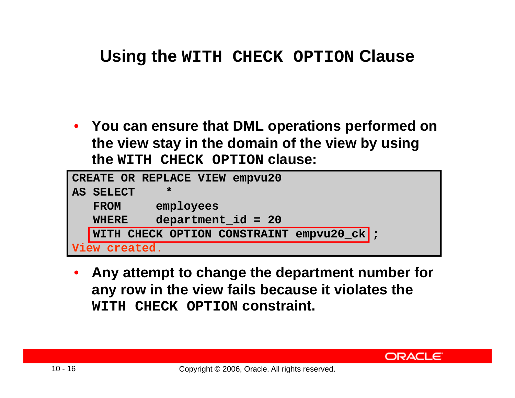#### **Using the WITH CHECK OPTION Clause**

• **You can ensure that DML operations performed on the view stay in the domain of the view by using the WITH CHECK OPTION clause:**

|               |              | CREATE OR REPLACE VIEW empvu20 |                      |                                           |  |
|---------------|--------------|--------------------------------|----------------------|-------------------------------------------|--|
|               | AS SELECT    | $\star$                        |                      |                                           |  |
|               | <b>FROM</b>  | employees                      |                      |                                           |  |
|               | <b>WHERE</b> |                                | department $id = 20$ |                                           |  |
|               |              |                                |                      | WITH CHECK OPTION CONSTRAINT empvu20_ck ; |  |
| View created. |              |                                |                      |                                           |  |

• **Any attempt to change the department number for any row in the view fails because it violates the WITH CHECK OPTION constraint.**

**ORACLE**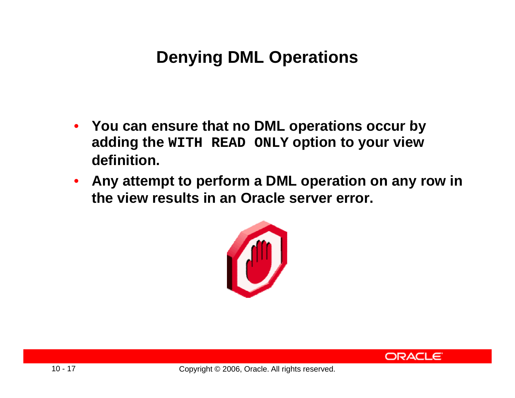#### **Denying DML Operations**

- **You can ensure that no DML operations occur by that adding the WITH READ ONLY option to your view definition.**
- **Any attempt to perform a DML operation on any row in the view results in an Oracle server error.**



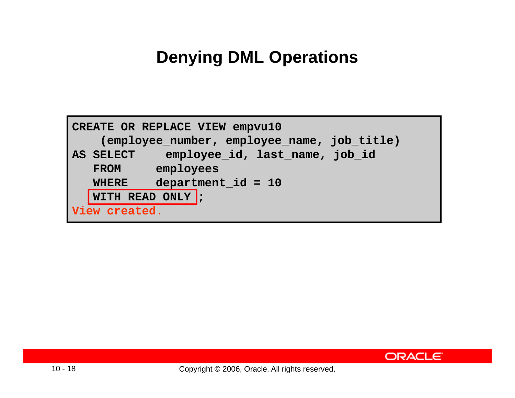#### **Denying DML Operations**



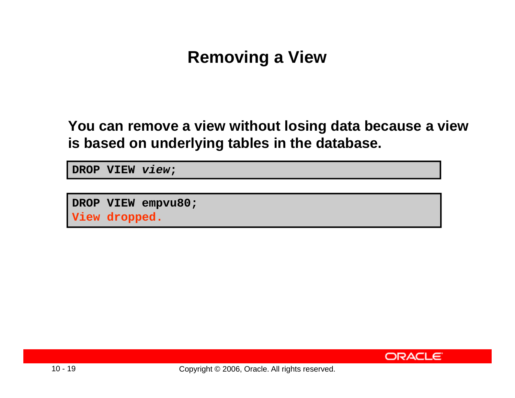#### **Removing a View**

**You can remove <sup>a</sup> view without losing data because <sup>a</sup> view view is based on underlying tables in the database.**

**DROP VIEW** *view***;**

**DROP VIEW empvu80; View dropped.**

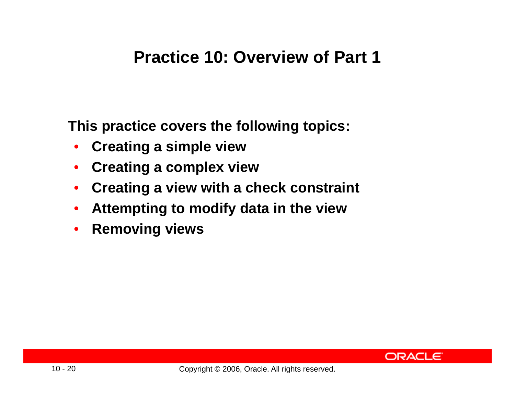#### **Practice 10: Overview of Part 1**

**This practice covers the following topics:**

- **Creating a simple view**
- **Creating a complex view**
- **Creating a view with a check constraint**
- •**Attempting to modify data in the view**
- $\bullet$ **R ii emov ng views**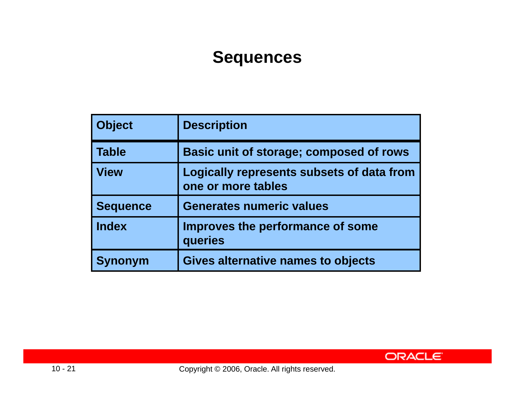#### **Sequences**

| <b>Object</b>   | <b>Description</b>                                              |
|-----------------|-----------------------------------------------------------------|
| <b>Table</b>    | Basic unit of storage; composed of rows                         |
| <b>View</b>     | Logically represents subsets of data from<br>one or more tables |
| <b>Sequence</b> | <b>Generates numeric values</b>                                 |
| <b>Index</b>    | Improves the performance of some<br>queries                     |
| <b>Synonym</b>  | <b>Gives alternative names to objects</b>                       |

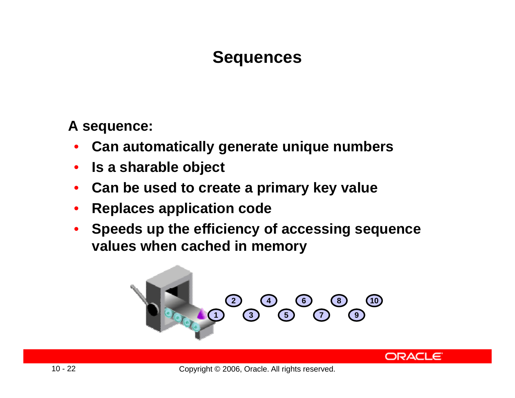#### **Sequences**

**A sequence:**

- **Can automatically generate unique numbers**
- **Is a sharable object**
- **Can be used to create a primary key value**
- •**Replaces application code**
- **S d th ffi i f i Speeds up the efficiency of accessing sequence values when cached in memory**



**ORACLE**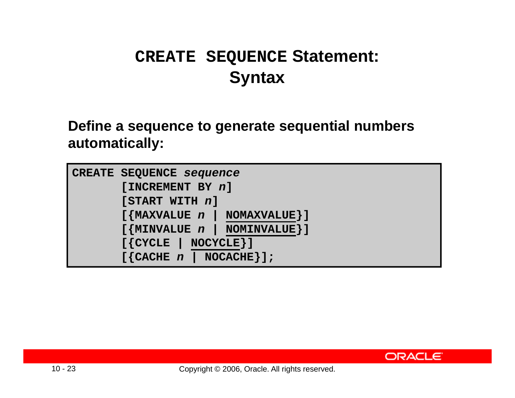#### **CREATE SEQUENCE Statement: Syntax**

**Define <sup>a</sup> sequence to generate sequential numbers automatically:**

| <b>CREATE SEQUENCE sequence</b>                                      |
|----------------------------------------------------------------------|
| [INCREMENT BY $n$ ]                                                  |
| [START WITH n]                                                       |
| $\left[\right.\left\{MAXVALUE\ n\ \right.\mid\ NOMAXVALUE\right\}$ ] |
| [ ${$ MINVALUE $n$   NOMINVALUE $}$ ]                                |
| $[$ ${C}$ ${C}$ ${C}$ ${L}$ $E$ $ $ $N$ $C$ ${C}$ ${L}$ $E$ $S$ $I$  |
| [ ${CACHE}$ n   NOCACHE $}$ ];                                       |

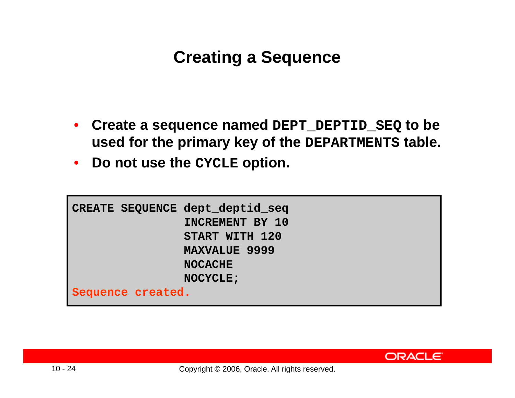#### **Creating a Sequence**

- **Create <sup>a</sup> sequence named DEPT DEPTID SEQ DEPT\_DEPTID\_SEQto be used for the primary key of the DEPARTMENTS table.**
- **Do not use the CYCLE option.**

|                   | CREATE SEQUENCE dept_deptid_seq |
|-------------------|---------------------------------|
|                   | INCREMENT BY 10                 |
|                   | <b>START WITH 120</b>           |
|                   | <b>MAXVALUE 9999</b>            |
|                   | <b>NOCACHE</b>                  |
|                   | NOCYCLE;                        |
| Sequence created. |                                 |

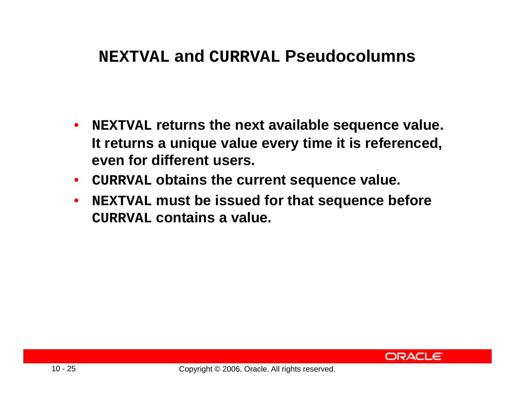#### **NEXTVAL and CURRVAL Pseudocolumns**

- **NEXTVAL returns the next available sequence value value. It returns a unique value every time it is referenced, even for different users.**
- **CURRVAL obtains the current sequence value.**
- • **NEXTVAL must be issued for that sequence before CURRVAL contains a value.**

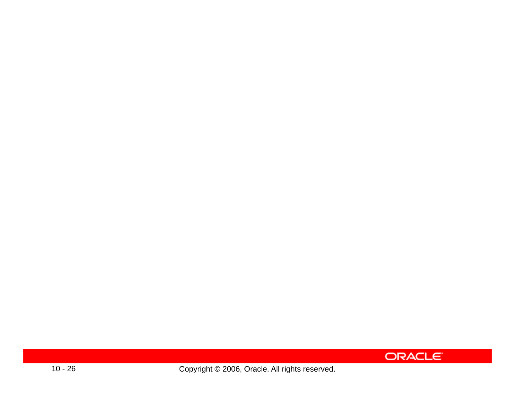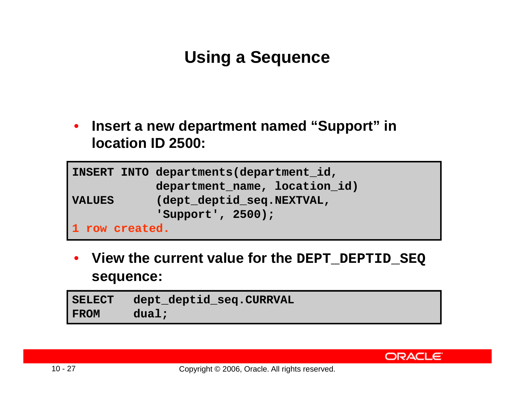### **Using a Sequence**

 $\bullet$  **Insert <sup>a</sup> new department named "Support" in location ID 2500:**

|                |  | INSERT INTO departments (department id, |  |  |
|----------------|--|-----------------------------------------|--|--|
|                |  | department name, location id)           |  |  |
| <b>VALUES</b>  |  | (dept deptid seq. NEXTVAL,              |  |  |
|                |  | 'Support', $2500$ );                    |  |  |
| 1 row created. |  |                                         |  |  |

• **View the current value for the DEPT\_DEPTID\_SEQ sequence:**

```
SELECT dept_deptid_seq.CURRVAL
FROM dual;
```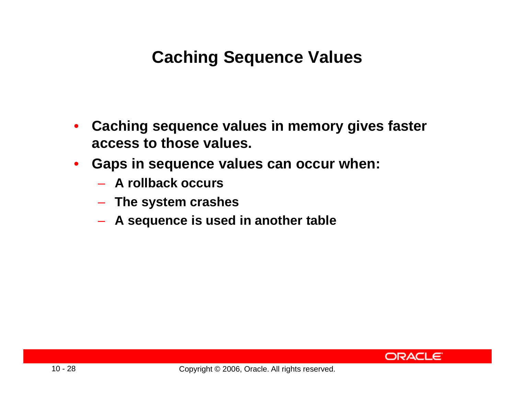#### **Caching Sequence Values**

- • **Caching sequence values in memory gives faster access to those values.**
- **Gaps in sequence values can occur when:**
	- **A rollback occurs**
	- **The system crashes**
	- **A sequence is used in another table**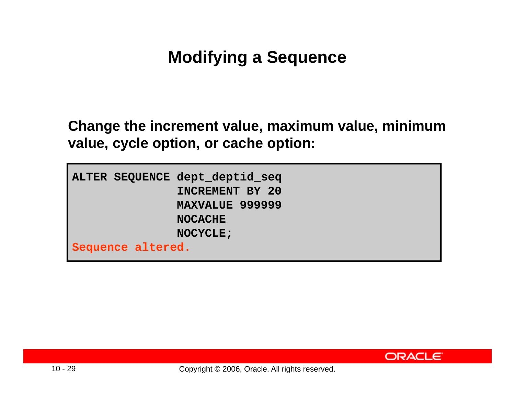#### **Modifying a Sequence**

**Change the increment value maximum value minimum increment value, value, value, cycle option, or cache option:**

**ALTER S Q C d t d tid E QUEN CE dept\_deptid\_seq INCREMENT BY 20MAXVALUE 999999NOCACHENOCYCLE; Sequence altered.**

**ORACLE**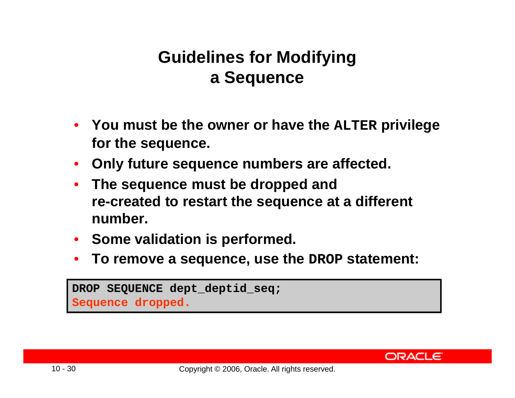#### **Guidelines for Modifying a Sequence**

- **You must be the owner or have the ALTER privilege for the sequence.**
- **Only future sequence numbers are affected.**
- • **The sequence must be dropped and re-created to restart the sequence at a different number.**
- **Some validation is performed.**
- •**To remove a sequence, use the DROP statement:**

```
DROP SEQUENCE dept deptid seq;
Sequence dropped.
```
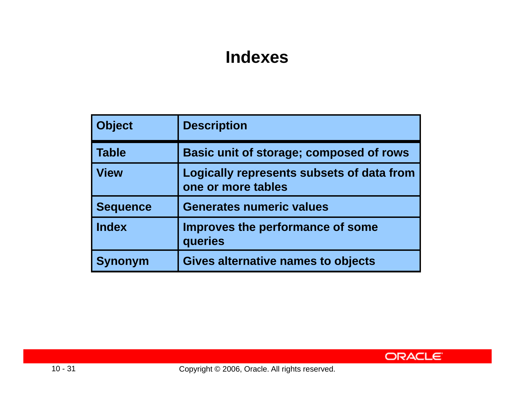#### **Indexes**

| <b>Object</b>   | <b>Description</b>                                              |
|-----------------|-----------------------------------------------------------------|
| <b>Table</b>    | <b>Basic unit of storage; composed of rows</b>                  |
| <b>View</b>     | Logically represents subsets of data from<br>one or more tables |
| <b>Sequence</b> | <b>Generates numeric values</b>                                 |
| <b>Index</b>    | Improves the performance of some<br>queries                     |
| <b>Synonym</b>  | <b>Gives alternative names to objects</b>                       |

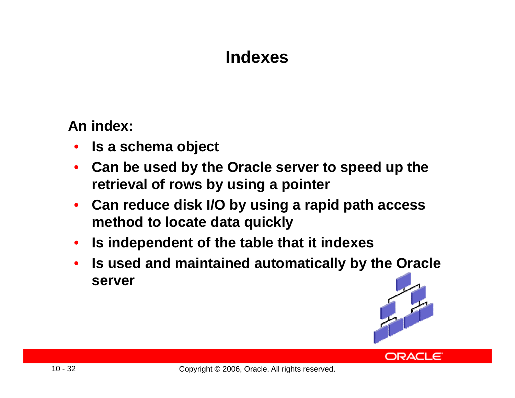#### **Indexes**

**An index:**

- **Is a schema object**
- •**Can be used by the Oracle server to speed up the retrieval of rows by using a pointer**
- **Can reduce disk I/O by using a rapid path access method to locate data quickly**
- $\bullet$ **Is independent of the table that it indexes**
- • **Is used and maintained automatically by the Oracle server**



ORACLE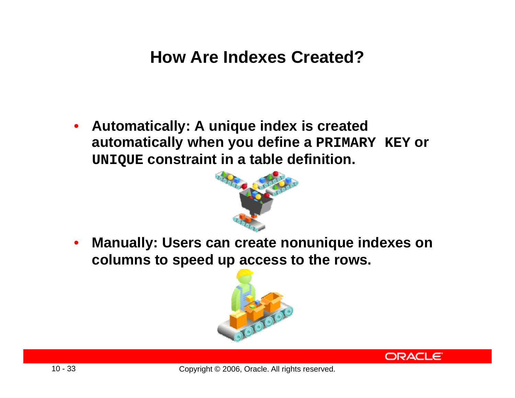#### **How Are Indexes Created?**

• **Automatically: A unique index is created automatically when you define a PRIMARY KEY or UNIQUE constraint in a table definition.**



• **Manually: Users can create nonunique indexes on columns to speed up access to the rows.**



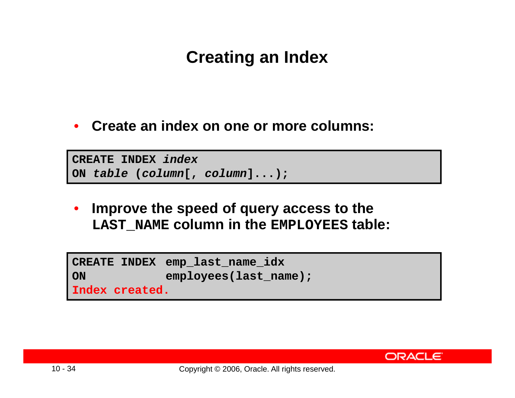#### **Creating an Index**

• **Create an index on one or more columns: one**

**CREATE INDEX** *index***ON** *table* **(***column***[** *column***] );**

• **Improve the speed of query access to the**  *COlumn***<sub>[</sub>, column<sub>]</sub>...);<br>
<b>Improve the speed of query access to the<br>
LAST\_NAME Column in the EMPLOYEES table:** 

**CREATE INDEX emp\_last\_name\_idx** ON employees(last\_name); **Index created.**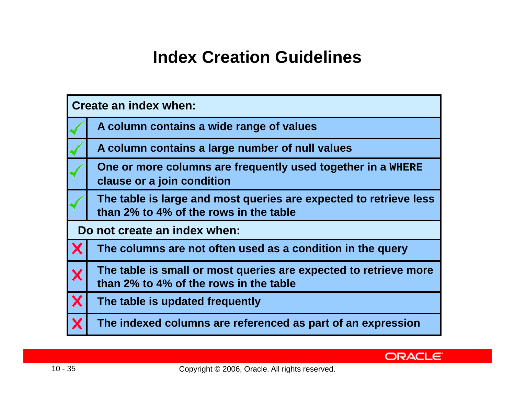#### **Index Creation Guidelines**



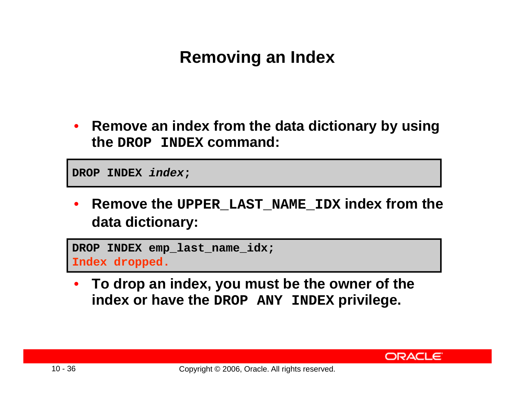### **Removing an Index**

• **Remove an index from the data dictionary by using the DROP INDEX command:**

**DROP INDEX** *index***;**

• **Remove the UPPER\_LAST\_NAME\_IDX index from the data dictionary:** \_\_\_<br>Rei<br>dat

```
DROP INDEX emp_last_name_idx;
Index dropped.
```
• **To drop an index, you must be the owner of the index or have the DROP ANY INDEX privilege.**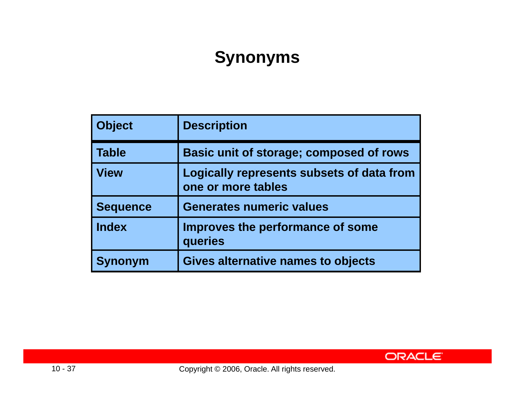#### **Synonyms**

| <b>Object</b>   | <b>Description</b>                                              |
|-----------------|-----------------------------------------------------------------|
| <b>Table</b>    | Basic unit of storage; composed of rows                         |
| <b>View</b>     | Logically represents subsets of data from<br>one or more tables |
| <b>Sequence</b> | <b>Generates numeric values</b>                                 |
| <b>Index</b>    | Improves the performance of some<br>queries                     |
| <b>Synonym</b>  | <b>Gives alternative names to objects</b>                       |

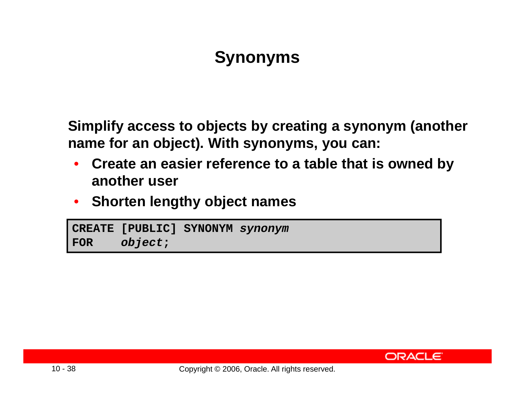# **Synonyms**

**Simplify access to objects by creating <sup>a</sup> synonym (another name for an object). With synonyms, you can:**

- $\bullet$  **Create an easier reference to a table that is owned by another user**
- •**Shorten lengthy object names**

**CREATE [PUBLIC] SYNONYM** *synonym* **FOR** *object***;**

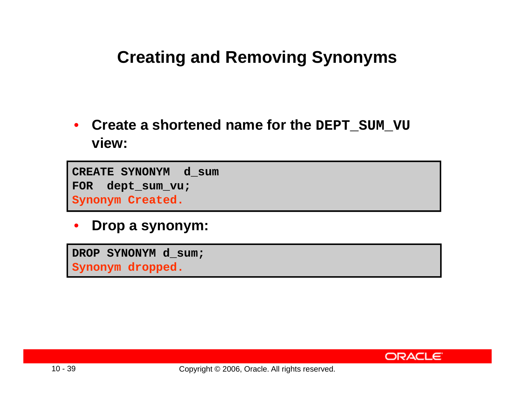#### **Creating and Removing Synonyms**

• **Create a shortened name for the name DEPT SUM VU DEPT\_SUM\_VU view:**

**CREATE SYNONYM d sum SYNONYM d\_sumFOR dept\_sum\_vu;**

**Synonym Created.**

#### •**Drop <sup>a</sup> synonym:**

**DROP SYNONYM d\_sum; Synonym dropped.**